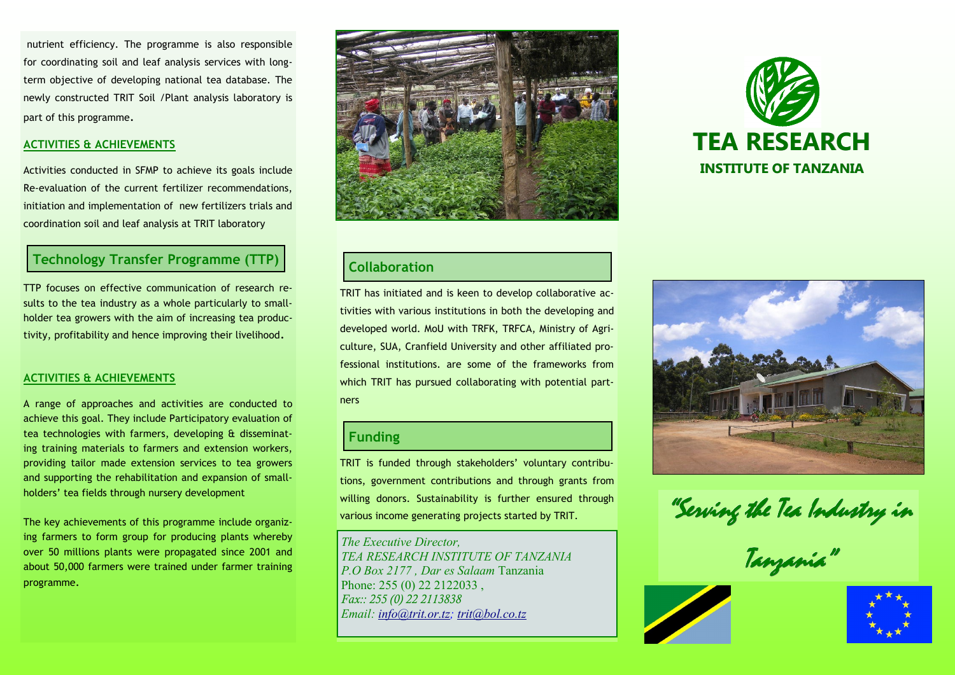nutrient efficiency. The programme is also responsible for coordinating soil and leaf analysis services with longterm objective of developing national tea database. The newly constructed TRIT Soil /Plant analysis laboratory is part of this programme.

#### **ACTIVITIES & ACHIEVEMENTS**

Activities conducted in SFMP to achieve its goals include Re-evaluation of the current fertilizer recommendations, initiation and implementation of new fertilizers trials and coordination soil and leaf analysis at TRIT laboratory

# **Technology Transfer Programme (TTP)**

TTP focuses on effective communication of research results to the tea industry as a whole particularly to smallholder tea growers with the aim of increasing tea productivity, profitability and hence improving their livelihood.

#### **ACTIVITIES & ACHIEVEMENTS**

A range of approaches and activities are conducted to achieve this goal. They include Participatory evaluation of tea technologies with farmers, developing & disseminating training materials to farmers and extension workers, providing tailor made extension services to tea growers and supporting the rehabilitation and expansion of smallholders' tea fields through nursery development

The key achievements of this programme include organizing farmers to form group for producing plants whereby over 50 millions plants were propagated since 2001 and about 50,000 farmers were trained under farmer training programme.



# **Collaboration**

TRIT has initiated and is keen to develop collaborative activities with various institutions in both the developing and developed world. MoU with TRFK, TRFCA, Ministry of Agriculture, SUA, Cranfield University and other affiliated professional institutions. are some of the frameworks from which TRIT has pursued collaborating with potential partners

## **Funding**

TRIT is funded through stakeholders' voluntary contributions, government contributions and through grants from willing donors. Sustainability is further ensured through various income generating projects started by TRIT.

*The Executive Director, TEA RESEARCH INSTITUTE OF TANZANIA P.O Box 2177 , Dar es Salaam* Tanzania Phone: 255 (0) 22 2122033, *Fax:: 255 (0) 22 2113838 Email: [info@trit.or.tz;](mailto:tritndun@trit.or.tz) [trit@bol.co.tz](mailto:trit@bol.co.tz)*





"Serving the Tea Industry in

Tanzania"